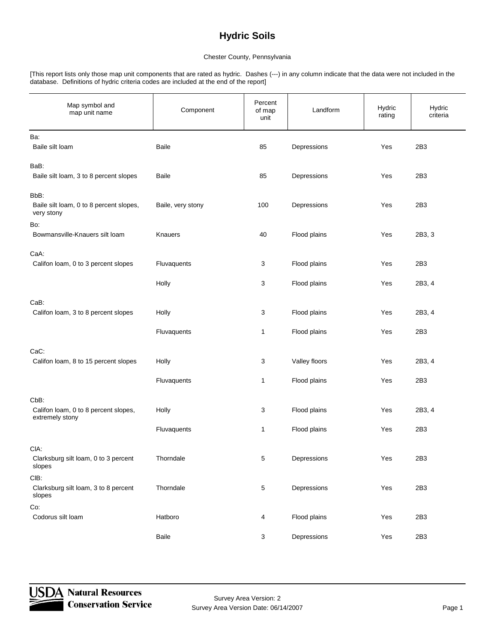#### Chester County, Pennsylvania

[This report lists only those map unit components that are rated as hydric. Dashes (---) in any column indicate that the data were not included in the database. Definitions of hydric criteria codes are included at the end of the report]

| Map symbol and<br>map unit name                                 | Component         | Percent<br>of map<br>unit | Landform      | Hydric<br>rating | Hydric<br>criteria |
|-----------------------------------------------------------------|-------------------|---------------------------|---------------|------------------|--------------------|
| Ba:<br>Baile silt loam                                          | Baile             | 85                        | Depressions   | Yes              | 2B3                |
| BaB:<br>Baile silt loam, 3 to 8 percent slopes                  | <b>Baile</b>      | 85                        | Depressions   | Yes              | 2B3                |
| BbB:<br>Baile silt loam, 0 to 8 percent slopes,<br>very stony   | Baile, very stony | 100                       | Depressions   | Yes              | 2B3                |
| Bo:<br>Bowmansville-Knauers silt loam                           | Knauers           | 40                        | Flood plains  | Yes              | 2B3, 3             |
| CaA:<br>Califon loam, 0 to 3 percent slopes                     | Fluvaquents       | 3                         | Flood plains  | Yes              | 2B3                |
|                                                                 | Holly             | 3                         | Flood plains  | Yes              | 2B3, 4             |
| CaB:<br>Califon loam, 3 to 8 percent slopes                     | Holly             | 3                         | Flood plains  | Yes              | 2B3, 4             |
|                                                                 | Fluvaquents       | $\mathbf{1}$              | Flood plains  | Yes              | 2B3                |
| CaC:<br>Califon loam, 8 to 15 percent slopes                    | Holly             | 3                         | Valley floors | Yes              | 2B3, 4             |
|                                                                 | Fluvaquents       | $\mathbf{1}$              | Flood plains  | Yes              | 2B3                |
| CbB:<br>Califon loam, 0 to 8 percent slopes,<br>extremely stony | Holly             | 3                         | Flood plains  | Yes              | 2B3, 4             |
|                                                                 | Fluvaquents       | $\mathbf{1}$              | Flood plains  | Yes              | 2B3                |
| CIA:<br>Clarksburg silt loam, 0 to 3 percent<br>slopes          | Thorndale         | $5\,$                     | Depressions   | Yes              | 2B3                |
| CIB:<br>Clarksburg silt loam, 3 to 8 percent<br>slopes          | Thorndale         | $\overline{5}$            | Depressions   | Yes              | 2B3                |
| Co:<br>Codorus silt loam                                        | Hatboro           | $\overline{4}$            | Flood plains  | Yes              | 2B3                |
|                                                                 | Baile             | $\mathbf{3}$              | Depressions   | Yes              | 2B3                |

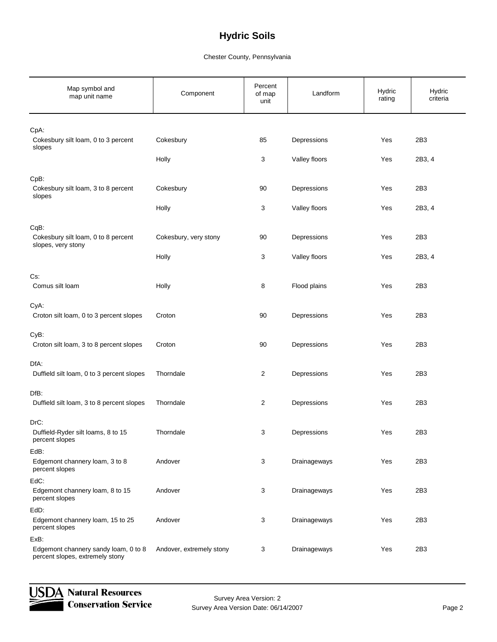| Map symbol and<br>map unit name                                         | Component                | Percent<br>of map<br>unit | Landform      | Hydric<br>rating | Hydric<br>criteria |
|-------------------------------------------------------------------------|--------------------------|---------------------------|---------------|------------------|--------------------|
| CpA:                                                                    |                          |                           |               |                  |                    |
| Cokesbury silt loam, 0 to 3 percent<br>slopes                           | Cokesbury                | 85                        | Depressions   | Yes              | 2B3                |
|                                                                         | Holly                    | 3                         | Valley floors | Yes              | 2B3, 4             |
| CpB:<br>Cokesbury silt loam, 3 to 8 percent<br>slopes                   | Cokesbury                | 90                        | Depressions   | Yes              | 2B3                |
|                                                                         | Holly                    | 3                         | Valley floors | Yes              | 2B3, 4             |
| CqB:<br>Cokesbury silt loam, 0 to 8 percent<br>slopes, very stony       | Cokesbury, very stony    | $90\,$                    | Depressions   | Yes              | 2B3                |
|                                                                         | Holly                    | 3                         | Valley floors | Yes              | 2B3, 4             |
| Cs:                                                                     |                          |                           |               |                  |                    |
| Comus silt loam                                                         | Holly                    | 8                         | Flood plains  | Yes              | 2B3                |
| CyA:<br>Croton silt loam, 0 to 3 percent slopes                         | Croton                   | 90                        | Depressions   | Yes              | 2B3                |
| CyB:<br>Croton silt loam, 3 to 8 percent slopes                         | Croton                   | 90                        | Depressions   | Yes              | 2B3                |
| DfA:                                                                    |                          |                           |               |                  |                    |
| Duffield silt loam, 0 to 3 percent slopes                               | Thorndale                | $\overline{c}$            | Depressions   | Yes              | 2B3                |
| DfB:<br>Duffield silt loam, 3 to 8 percent slopes                       | Thorndale                | $\overline{c}$            | Depressions   | Yes              | 2B3                |
| DrC:<br>Duffield-Ryder silt loams, 8 to 15<br>percent slopes            | Thorndale                | 3                         | Depressions   | Yes              | 2B3                |
| EdB:<br>Edgemont channery loam, 3 to 8<br>percent slopes                | Andover                  | 3                         | Drainageways  | Yes              | 2B3                |
| EdC:<br>Edgemont channery loam, 8 to 15<br>percent slopes               | Andover                  | 3                         | Drainageways  | Yes              | 2B3                |
| EdD:                                                                    |                          |                           |               |                  |                    |
| Edgemont channery loam, 15 to 25<br>percent slopes                      | Andover                  | 3                         | Drainageways  | Yes              | 2B3                |
| ExB:                                                                    |                          |                           |               |                  |                    |
| Edgemont channery sandy loam, 0 to 8<br>percent slopes, extremely stony | Andover, extremely stony | 3                         | Drainageways  | Yes              | 2B3                |

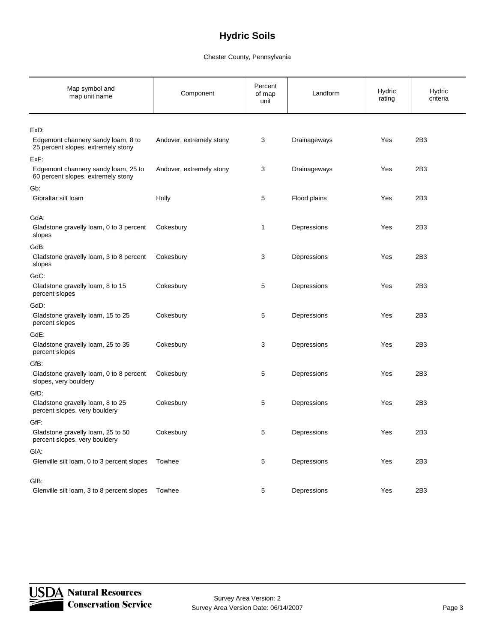| Map symbol and<br>map unit name                                           | Component                | Percent<br>of map<br>unit | Landform     | Hydric<br>rating | Hydric<br>criteria |
|---------------------------------------------------------------------------|--------------------------|---------------------------|--------------|------------------|--------------------|
| ExD:                                                                      |                          |                           |              |                  |                    |
| Edgemont channery sandy loam, 8 to<br>25 percent slopes, extremely stony  | Andover, extremely stony | 3                         | Drainageways | Yes              | 2B3                |
| ExF:                                                                      |                          |                           |              |                  |                    |
| Edgemont channery sandy loam, 25 to<br>60 percent slopes, extremely stony | Andover, extremely stony | 3                         | Drainageways | Yes              | 2B3                |
| Gb:                                                                       |                          |                           |              |                  |                    |
| Gibraltar silt loam                                                       | Holly                    | 5                         | Flood plains | Yes              | 2B3                |
| GdA:                                                                      |                          |                           |              |                  |                    |
| Gladstone gravelly loam, 0 to 3 percent<br>slopes                         | Cokesbury                | $\mathbf{1}$              | Depressions  | Yes              | 2B3                |
| GdB:                                                                      |                          |                           |              |                  |                    |
| Gladstone gravelly loam, 3 to 8 percent<br>slopes                         | Cokesbury                | 3                         | Depressions  | Yes              | 2B3                |
| GdC:                                                                      |                          |                           |              |                  |                    |
| Gladstone gravelly loam, 8 to 15<br>percent slopes                        | Cokesbury                | 5                         | Depressions  | Yes              | 2B3                |
| GdD:                                                                      |                          |                           |              |                  |                    |
| Gladstone gravelly loam, 15 to 25<br>percent slopes                       | Cokesbury                | 5                         | Depressions  | Yes              | 2B3                |
| GdE:                                                                      |                          |                           |              |                  |                    |
| Gladstone gravelly loam, 25 to 35<br>percent slopes                       | Cokesbury                | 3                         | Depressions  | Yes              | 2B3                |
| GfB:                                                                      |                          |                           |              |                  |                    |
| Gladstone gravelly loam, 0 to 8 percent<br>slopes, very bouldery          | Cokesbury                | 5                         | Depressions  | Yes              | 2B3                |
| GfD:                                                                      |                          |                           |              |                  |                    |
| Gladstone gravelly loam, 8 to 25<br>percent slopes, very bouldery         | Cokesbury                | 5                         | Depressions  | Yes              | 2B3                |
| GfF:                                                                      |                          |                           |              |                  |                    |
| Gladstone gravelly loam, 25 to 50<br>percent slopes, very bouldery        | Cokesbury                | 5                         | Depressions  | Yes              | 2B3                |
| GIA:                                                                      |                          |                           |              |                  |                    |
| Glenville silt loam, 0 to 3 percent slopes                                | Towhee                   | 5                         | Depressions  | Yes              | 2B3                |
| GIB:                                                                      |                          |                           |              |                  |                    |
| Glenville silt loam, 3 to 8 percent slopes                                | Towhee                   | 5                         | Depressions  | Yes              | 2B3                |

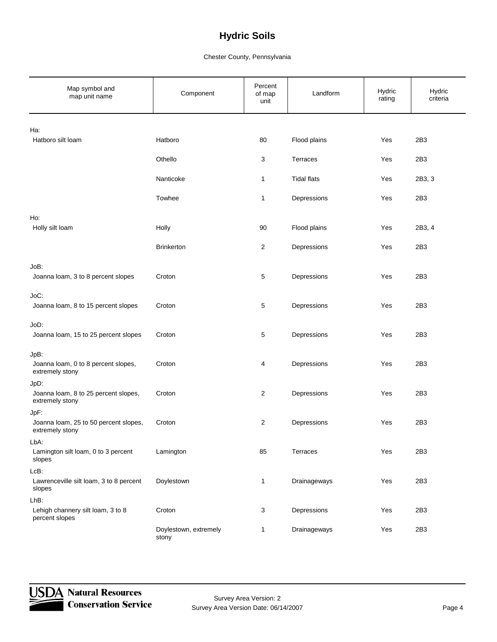| Map symbol and<br>map unit name                          | Component                      | Percent<br>of map<br>unit | Landform           | Hydric<br>rating | Hydric<br>criteria |
|----------------------------------------------------------|--------------------------------|---------------------------|--------------------|------------------|--------------------|
| Ha:                                                      |                                |                           |                    |                  |                    |
| Hatboro silt loam                                        | Hatboro                        | 80                        | Flood plains       | Yes              | 2B3                |
|                                                          | Othello                        | 3                         | Terraces           | Yes              | 2B3                |
|                                                          | Nanticoke                      | 1                         | <b>Tidal flats</b> | Yes              | 2B3, 3             |
|                                                          | Towhee                         | 1                         | Depressions        | Yes              | 2B3                |
| Ho:                                                      |                                |                           |                    |                  |                    |
| Holly silt loam                                          | Holly                          | 90                        | Flood plains       | Yes              | 2B3, 4             |
|                                                          | <b>Brinkerton</b>              | $\overline{c}$            | Depressions        | Yes              | 2B3                |
| JoB:                                                     |                                |                           |                    |                  |                    |
| Joanna loam, 3 to 8 percent slopes                       | Croton                         | 5                         | Depressions        | Yes              | 2B3                |
| JoC:                                                     |                                |                           |                    |                  |                    |
| Joanna loam, 8 to 15 percent slopes                      | Croton                         | 5                         | Depressions        | Yes              | 2B3                |
| JoD:                                                     |                                |                           |                    |                  |                    |
| Joanna loam, 15 to 25 percent slopes                     | Croton                         | 5                         | Depressions        | Yes              | 2B3                |
| JpB:                                                     |                                |                           |                    |                  |                    |
| Joanna loam, 0 to 8 percent slopes,<br>extremely stony   | Croton                         | 4                         | Depressions        | Yes              | 2B3                |
| JpD:                                                     |                                |                           |                    |                  |                    |
| Joanna loam, 8 to 25 percent slopes,<br>extremely stony  | Croton                         | $\overline{c}$            | Depressions        | Yes              | 2B3                |
| JpF:                                                     |                                |                           |                    |                  |                    |
| Joanna loam, 25 to 50 percent slopes,<br>extremely stony | Croton                         | 2                         | Depressions        | Yes              | 2B3                |
| LbA:                                                     |                                |                           |                    |                  |                    |
| Lamington silt loam, 0 to 3 percent<br>slopes            | Lamington                      | 85                        | Terraces           | Yes              | 2B3                |
| $LcB$ :                                                  |                                |                           |                    |                  |                    |
| Lawrenceville silt loam, 3 to 8 percent<br>slopes        | Doylestown                     | $\mathbf{1}$              | Drainageways       | Yes              | 2B3                |
| $LhB$ :                                                  |                                |                           |                    |                  |                    |
| Lehigh channery silt loam, 3 to 8<br>percent slopes      | Croton                         | 3                         | Depressions        | Yes              | 2B3                |
|                                                          | Doylestown, extremely<br>stony | 1                         | Drainageways       | Yes              | 2B3                |

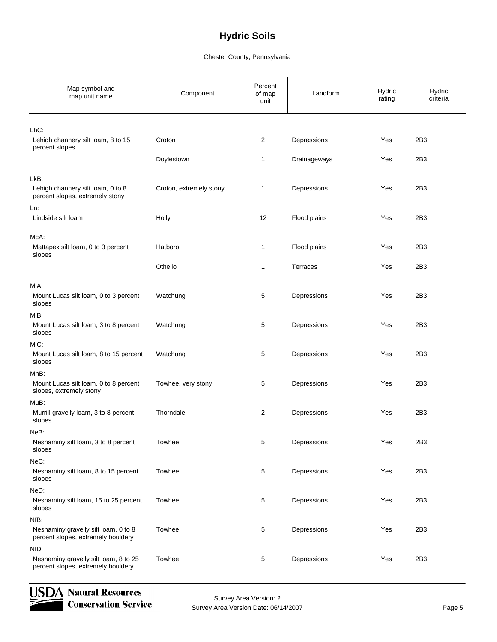### Chester County, Pennsylvania

| Map symbol and<br>map unit name                                              | Component               | Percent<br>of map<br>unit | Landform     | Hydric<br>rating | Hydric<br>criteria |
|------------------------------------------------------------------------------|-------------------------|---------------------------|--------------|------------------|--------------------|
| $LhC$ :                                                                      |                         |                           |              |                  |                    |
| Lehigh channery silt loam, 8 to 15<br>percent slopes                         | Croton                  | $\overline{2}$            | Depressions  | Yes              | 2B3                |
|                                                                              | Doylestown              | $\mathbf{1}$              | Drainageways | Yes              | 2B3                |
| LkB:<br>Lehigh channery silt loam, 0 to 8<br>percent slopes, extremely stony | Croton, extremely stony | $\mathbf{1}$              | Depressions  | Yes              | 2B3                |
| Ln:<br>Lindside silt loam                                                    | Holly                   | 12                        | Flood plains | Yes              | 2B3                |
| McA:                                                                         |                         |                           |              |                  |                    |
| Mattapex silt loam, 0 to 3 percent<br>slopes                                 | Hatboro                 | $\mathbf{1}$              | Flood plains | Yes              | 2B3                |
|                                                                              | Othello                 | $\mathbf{1}$              | Terraces     | Yes              | 2B3                |
| MIA:                                                                         |                         |                           |              |                  |                    |
| Mount Lucas silt loam, 0 to 3 percent<br>slopes                              | Watchung                | 5                         | Depressions  | Yes              | 2B3                |
| MIB:                                                                         |                         |                           |              |                  |                    |
| Mount Lucas silt loam, 3 to 8 percent<br>slopes                              | Watchung                | 5                         | Depressions  | Yes              | 2B3                |
| MIC:                                                                         |                         |                           |              |                  |                    |
| Mount Lucas silt loam, 8 to 15 percent<br>slopes                             | Watchung                | 5                         | Depressions  | Yes              | 2B3                |
| MnB:                                                                         |                         |                           |              |                  |                    |
| Mount Lucas silt loam, 0 to 8 percent<br>slopes, extremely stony             | Towhee, very stony      | 5                         | Depressions  | Yes              | 2B3                |
| MuB:                                                                         |                         |                           |              |                  |                    |
| Murrill gravelly loam, 3 to 8 percent<br>slopes                              | Thorndale               | $\overline{c}$            | Depressions  | Yes              | 2B3                |
| NeB:                                                                         |                         |                           |              |                  |                    |
| Neshaminy silt loam, 3 to 8 percent<br>slopes                                | Towhee                  | $\mathbf 5$               | Depressions  | Yes              | 2B3                |
| NeC:                                                                         |                         |                           |              |                  |                    |
| Neshaminy silt loam, 8 to 15 percent<br>slopes                               | Towhee                  | 5                         | Depressions  | Yes              | 2B3                |
| NeD:                                                                         |                         |                           |              |                  |                    |
| Neshaminy silt loam, 15 to 25 percent<br>slopes                              | Towhee                  | 5                         | Depressions  | Yes              | 2B3                |
| NfB:                                                                         |                         |                           |              |                  |                    |
| Neshaminy gravelly silt loam, 0 to 8<br>percent slopes, extremely bouldery   | Towhee                  | 5                         | Depressions  | Yes              | 2B3                |
| NfD:                                                                         |                         |                           |              |                  |                    |
| Neshaminy gravelly silt loam, 8 to 25<br>percent slopes, extremely bouldery  | Towhee                  | 5                         | Depressions  | Yes              | 2B3                |



Survey Area Version: 2 Survey Area Version Date: 06/14/2007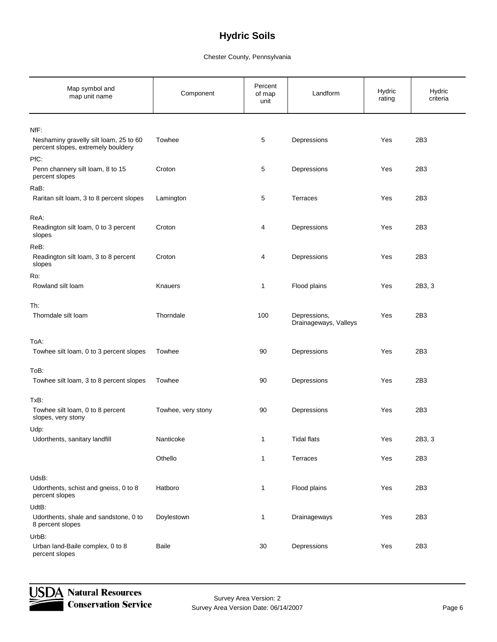| Map symbol and<br>map unit name                                              | Component          | Percent<br>of map<br>unit | Landform                              | Hydric<br>rating | Hydric<br>criteria |
|------------------------------------------------------------------------------|--------------------|---------------------------|---------------------------------------|------------------|--------------------|
| NfF:                                                                         |                    |                           |                                       |                  |                    |
| Neshaminy gravelly silt loam, 25 to 60<br>percent slopes, extremely bouldery | Towhee             | 5                         | Depressions                           | Yes              | 2B3                |
| PfC:<br>Penn channery silt loam, 8 to 15<br>percent slopes                   | Croton             | 5                         | Depressions                           | Yes              | 2B3                |
| RaB:                                                                         |                    |                           |                                       |                  |                    |
| Raritan silt loam, 3 to 8 percent slopes                                     | Lamington          | 5                         | <b>Terraces</b>                       | Yes              | 2B3                |
| ReA:<br>Readington silt loam, 0 to 3 percent<br>slopes                       | Croton             | 4                         | Depressions                           | Yes              | 2B3                |
| ReB:<br>Readington silt loam, 3 to 8 percent<br>slopes                       | Croton             | 4                         | Depressions                           | Yes              | 2B3                |
| Ro:                                                                          |                    |                           |                                       |                  |                    |
| Rowland silt loam                                                            | Knauers            | $\mathbf{1}$              | Flood plains                          | Yes              | 2B3, 3             |
| Th:<br>Thorndale silt loam                                                   | Thorndale          | 100                       | Depressions,<br>Drainageways, Valleys | Yes              | 2B3                |
| ToA:                                                                         |                    |                           |                                       |                  |                    |
| Towhee silt loam, 0 to 3 percent slopes                                      | Towhee             | 90                        | Depressions                           | Yes              | 2B3                |
| ToB:                                                                         |                    |                           |                                       |                  |                    |
| Towhee silt loam, 3 to 8 percent slopes                                      | Towhee             | 90                        | Depressions                           | Yes              | 2B3                |
| TxB:<br>Towhee silt loam, 0 to 8 percent<br>slopes, very stony               | Towhee, very stony | 90                        | Depressions                           | Yes              | 2B3                |
| Udp:<br>Udorthents, sanitary landfill                                        | Nanticoke          | 1                         | Tidal flats                           | Yes              | 2B3, 3             |
|                                                                              | Othello            | $\mathbf{1}$              | Terraces                              | Yes              | 2B3                |
| UdsB:<br>Udorthents, schist and gneiss, 0 to 8<br>percent slopes             | Hatboro            | $\mathbf{1}$              | Flood plains                          | Yes              | 2B3                |
| UdtB:<br>Udorthents, shale and sandstone, 0 to<br>8 percent slopes           | Doylestown         | $\mathbf{1}$              | Drainageways                          | Yes              | 2B3                |
| UrbB:                                                                        |                    |                           |                                       |                  |                    |
| Urban land-Baile complex, 0 to 8<br>percent slopes                           | Baile              | 30                        | Depressions                           | Yes              | 2B3                |

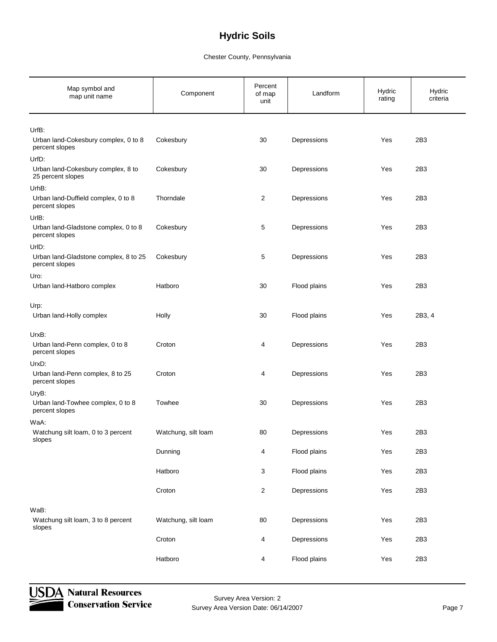### Chester County, Pennsylvania

| Map symbol and<br>map unit name                                  | Component           | Percent<br>of map<br>unit | Landform     | Hydric<br>rating | Hydric<br>criteria |
|------------------------------------------------------------------|---------------------|---------------------------|--------------|------------------|--------------------|
| UrfB:<br>Urban land-Cokesbury complex, 0 to 8                    | Cokesbury           | 30                        | Depressions  | Yes              | 2B3                |
| percent slopes                                                   |                     |                           |              |                  |                    |
| UrfD:<br>Urban land-Cokesbury complex, 8 to<br>25 percent slopes | Cokesbury           | 30                        | Depressions  | Yes              | 2B3                |
| UrhB:<br>Urban land-Duffield complex, 0 to 8<br>percent slopes   | Thorndale           | $\overline{c}$            | Depressions  | Yes              | 2B3                |
| UrlB:<br>Urban land-Gladstone complex, 0 to 8<br>percent slopes  | Cokesbury           | 5                         | Depressions  | Yes              | 2B3                |
| UrID:<br>Urban land-Gladstone complex, 8 to 25<br>percent slopes | Cokesbury           | 5                         | Depressions  | Yes              | 2B3                |
| Uro:                                                             |                     |                           |              |                  |                    |
| Urban land-Hatboro complex                                       | Hatboro             | 30                        | Flood plains | Yes              | 2B3                |
| Urp:<br>Urban land-Holly complex                                 | Holly               | 30                        | Flood plains | Yes              | 2B3, 4             |
| UrxB:<br>Urban land-Penn complex, 0 to 8<br>percent slopes       | Croton              | 4                         | Depressions  | Yes              | 2B3                |
| UrxD:                                                            |                     |                           |              |                  |                    |
| Urban land-Penn complex, 8 to 25<br>percent slopes               | Croton              | 4                         | Depressions  | Yes              | 2B3                |
| UryB:<br>Urban land-Towhee complex, 0 to 8<br>percent slopes     | Towhee              | 30                        | Depressions  | Yes              | 2B3                |
| WaA:<br>Watchung silt loam, 0 to 3 percent<br>slopes             | Watchung, silt loam | 80                        | Depressions  | Yes              | 2B3                |
|                                                                  | Dunning             | $\overline{4}$            | Flood plains | Yes              | 2B3                |
|                                                                  | Hatboro             | 3                         | Flood plains | Yes              | 2B3                |
|                                                                  | Croton              | $\overline{2}$            | Depressions  | Yes              | 2B3                |
| WaB:<br>Watchung silt loam, 3 to 8 percent<br>slopes             | Watchung, silt loam | 80                        | Depressions  | Yes              | 2B3                |
|                                                                  | Croton              | 4                         | Depressions  | Yes              | 2B3                |
|                                                                  | Hatboro             | $\overline{4}$            | Flood plains | Yes              | 2B <sub>3</sub>    |



**JSDA Natural Resources Conservation Service** 

Survey Area Version: 2 Survey Area Version Date: 06/14/2007